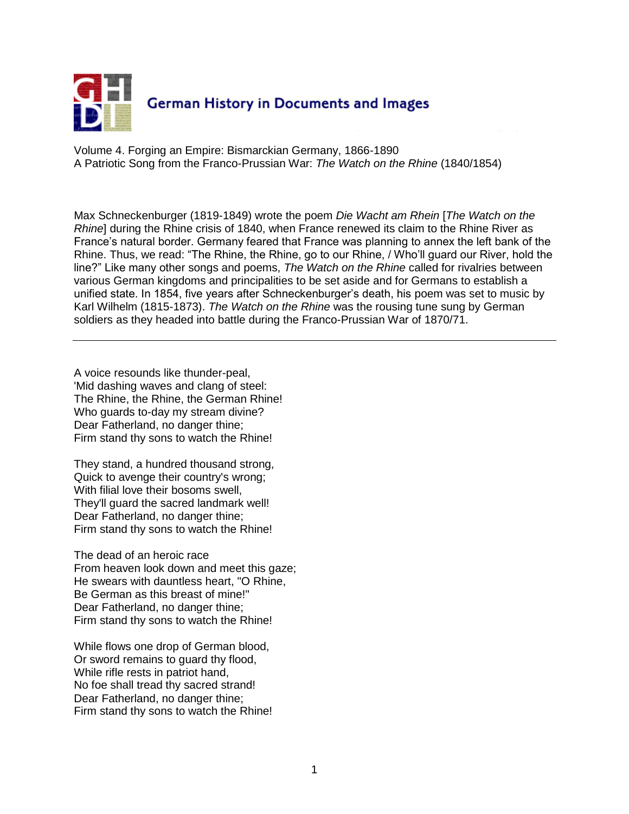

Volume 4. Forging an Empire: Bismarckian Germany, 1866-1890 A Patriotic Song from the Franco-Prussian War: *The Watch on the Rhine* (1840/1854)

Max Schneckenburger (1819-1849) wrote the poem *Die Wacht am Rhein* [*The Watch on the Rhine*] during the Rhine crisis of 1840, when France renewed its claim to the Rhine River as France's natural border. Germany feared that France was planning to annex the left bank of the Rhine. Thus, we read: "The Rhine, the Rhine, go to our Rhine, / Who'll guard our River, hold the line?" Like many other songs and poems, *The Watch on the Rhine* called for rivalries between various German kingdoms and principalities to be set aside and for Germans to establish a unified state. In 1854, five years after Schneckenburger's death, his poem was set to music by Karl Wilhelm (1815-1873). *The Watch on the Rhine* was the rousing tune sung by German soldiers as they headed into battle during the Franco-Prussian War of 1870/71.

A voice resounds like thunder-peal, 'Mid dashing waves and clang of steel: The Rhine, the Rhine, the German Rhine! Who guards to-day my stream divine? Dear Fatherland, no danger thine; Firm stand thy sons to watch the Rhine!

They stand, a hundred thousand strong, Quick to avenge their country's wrong; With filial love their bosoms swell, They'll guard the sacred landmark well! Dear Fatherland, no danger thine; Firm stand thy sons to watch the Rhine!

The dead of an heroic race From heaven look down and meet this gaze; He swears with dauntless heart, "O Rhine, Be German as this breast of mine!" Dear Fatherland, no danger thine; Firm stand thy sons to watch the Rhine!

While flows one drop of German blood, Or sword remains to guard thy flood, While rifle rests in patriot hand, No foe shall tread thy sacred strand! Dear Fatherland, no danger thine; Firm stand thy sons to watch the Rhine!